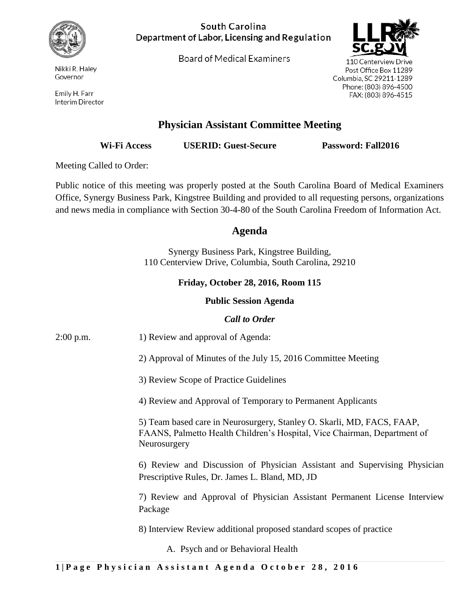

Nikki R. Haley Governor

Emily H. Farr Interim Director

#### South Carolina Department of Labor, Licensing and Regulation

**Board of Medical Examiners** 



110 Centerview Drive Post Office Box 11289 Columbia, SC 29211-1289 Phone: (803) 896-4500 FAX: (803) 896-4515

# **Physician Assistant Committee Meeting**

**Wi-Fi Access USERID: Guest-Secure Password: Fall2016**

Meeting Called to Order:

Public notice of this meeting was properly posted at the South Carolina Board of Medical Examiners Office, Synergy Business Park, Kingstree Building and provided to all requesting persons, organizations and news media in compliance with Section 30-4-80 of the South Carolina Freedom of Information Act.

## **Agenda**

Synergy Business Park, Kingstree Building, 110 Centerview Drive, Columbia, South Carolina, 29210

## **Friday, October 28, 2016, Room 115**

#### **Public Session Agenda**

| <b>Call to Order</b> |                                                                                                                                                                    |
|----------------------|--------------------------------------------------------------------------------------------------------------------------------------------------------------------|
| $2:00$ p.m.          | 1) Review and approval of Agenda:                                                                                                                                  |
|                      | 2) Approval of Minutes of the July 15, 2016 Committee Meeting                                                                                                      |
|                      | 3) Review Scope of Practice Guidelines                                                                                                                             |
|                      | 4) Review and Approval of Temporary to Permanent Applicants                                                                                                        |
|                      | 5) Team based care in Neurosurgery, Stanley O. Skarli, MD, FACS, FAAP,<br>FAANS, Palmetto Health Children's Hospital, Vice Chairman, Department of<br>Neurosurgery |
|                      | 6) Review and Discussion of Physician Assistant and Supervising Physician<br>Prescriptive Rules, Dr. James L. Bland, MD, JD                                        |
|                      | 7) Review and Approval of Physician Assistant Permanent License Interview<br>Package                                                                               |
|                      | 8) Interview Review additional proposed standard scopes of practice                                                                                                |
|                      | A. Psych and or Behavioral Health                                                                                                                                  |